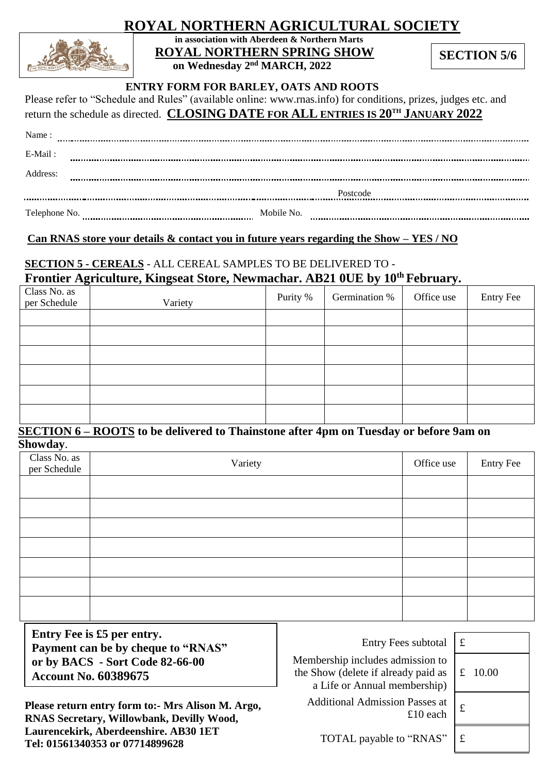# **ROYAL NORTHERN AGRICULTURAL SOCIETY**



**in association with Aberdeen & Northern Marts ROYAL NORTHERN SPRING SHOW on Wednesday 2 nd MARCH, 2022**

**SECTION 5/6**

### **ENTRY FORM FOR BARLEY, OATS AND ROOTS**

Please refer to "Schedule and Rules" (available online: www.rnas.info) for conditions, prizes, judges etc. and<br>
START DATE TO START THE THE TRANSPARED ON THE TRANSPARED ON THE TRANSPARED ON THE TRANSPARED ON THE TRANSPARED return the schedule as directed. **CLOSING DATE FOR ALL ENTRIES IS 20TH JANUARY 2022**

|          | return the schedule as directed. CLOSING DATE FOR ALL ENTRIES IS 20 <sup>11</sup> JANUARY 2022 |  |  |  |
|----------|------------------------------------------------------------------------------------------------|--|--|--|
| Name:    |                                                                                                |  |  |  |
| E-Mail:  |                                                                                                |  |  |  |
| Address: |                                                                                                |  |  |  |

|               |            | Postcode |
|---------------|------------|----------|
| Telephone No. | Mobile No. |          |

### **Can RNAS store your details & contact you in future years regarding the Show – YES / NO**

### **SECTION 5 - CEREALS** - ALL CEREAL SAMPLES TO BE DELIVERED TO - **Frontier Agriculture, Kingseat Store, Newmachar. AB21 0UE by 10 th February.**

| Class No. as<br>per Schedule | Variety | Purity % | Germination % | Office use | <b>Entry Fee</b> |
|------------------------------|---------|----------|---------------|------------|------------------|
|                              |         |          |               |            |                  |
|                              |         |          |               |            |                  |
|                              |         |          |               |            |                  |
|                              |         |          |               |            |                  |
|                              |         |          |               |            |                  |
|                              |         |          |               |            |                  |

#### **SECTION 6 – ROOTS to be delivered to Thainstone after 4pm on Tuesday or before 9am on Showday**.

| $\overline{\phantom{a}}$     |         |            |           |
|------------------------------|---------|------------|-----------|
| Class No. as<br>per Schedule | Variety | Office use | Entry Fee |
|                              |         |            |           |
|                              |         |            |           |
|                              |         |            |           |
|                              |         |            |           |
|                              |         |            |           |
|                              |         |            |           |
|                              |         |            |           |
|                              |         |            |           |

**Entry Fee is £5 per entry. Payment can be by cheque to "RNAS" or by BACS - Sort Code 82-66-00 Account No. 60389675**

**Please return entry form to:- Mrs Alison M. Argo, RNAS Secretary, Willowbank, Devilly Wood, Laurencekirk, Aberdeenshire. AB30 1ET Tel: 01561340353 or 07714899628**

|  |  | Entry Fees subtotal $\pm$ |  |
|--|--|---------------------------|--|
|--|--|---------------------------|--|

Membership includes admission to the Show (delete if already paid as a Life or Annual membership)

 $\pm$  10 each  $\pm$ Additional Admission Passes at

£ 10.00

TOTAL payable to "RNAS"  $\vert \text{\textsterling} \vert$